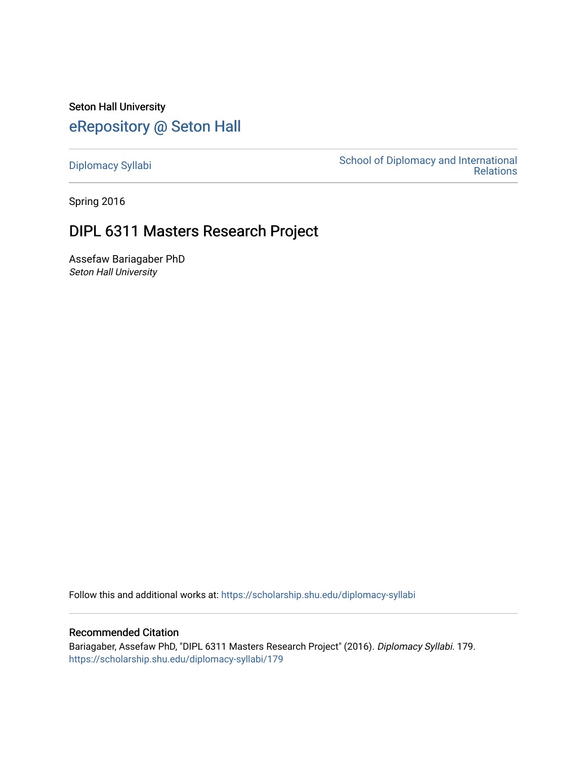Seton Hall University [eRepository @ Seton Hall](https://scholarship.shu.edu/)

[Diplomacy Syllabi](https://scholarship.shu.edu/diplomacy-syllabi) [School of Diplomacy and International](https://scholarship.shu.edu/diplomacy)  [Relations](https://scholarship.shu.edu/diplomacy) 

Spring 2016

# DIPL 6311 Masters Research Project

Assefaw Bariagaber PhD Seton Hall University

Follow this and additional works at: [https://scholarship.shu.edu/diplomacy-syllabi](https://scholarship.shu.edu/diplomacy-syllabi?utm_source=scholarship.shu.edu%2Fdiplomacy-syllabi%2F179&utm_medium=PDF&utm_campaign=PDFCoverPages) 

# Recommended Citation

Bariagaber, Assefaw PhD, "DIPL 6311 Masters Research Project" (2016). Diplomacy Syllabi. 179. [https://scholarship.shu.edu/diplomacy-syllabi/179](https://scholarship.shu.edu/diplomacy-syllabi/179?utm_source=scholarship.shu.edu%2Fdiplomacy-syllabi%2F179&utm_medium=PDF&utm_campaign=PDFCoverPages)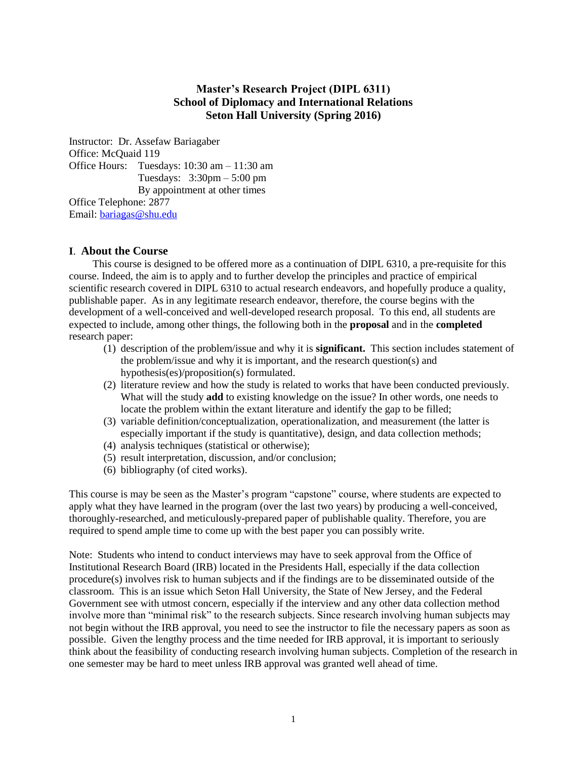# **Master's Research Project (DIPL 6311) School of Diplomacy and International Relations Seton Hall University (Spring 2016)**

Instructor: Dr. Assefaw Bariagaber Office: McQuaid 119 Office Hours: Tuesdays: 10:30 am – 11:30 am Tuesdays: 3:30pm – 5:00 pm By appointment at other times Office Telephone: 2877 Email: [bariagas@shu.edu](mailto:bariagas@shu.edu)

# **I**. **About the Course**

 This course is designed to be offered more as a continuation of DIPL 6310, a pre-requisite for this course. Indeed, the aim is to apply and to further develop the principles and practice of empirical scientific research covered in DIPL 6310 to actual research endeavors, and hopefully produce a quality, publishable paper. As in any legitimate research endeavor, therefore, the course begins with the development of a well-conceived and well-developed research proposal. To this end, all students are expected to include, among other things, the following both in the **proposal** and in the **completed**  research paper:

- (1) description of the problem/issue and why it is **significant.** This section includes statement of the problem/issue and why it is important, and the research question(s) and hypothesis(es)/proposition(s) formulated.
- (2) literature review and how the study is related to works that have been conducted previously. What will the study **add** to existing knowledge on the issue? In other words, one needs to locate the problem within the extant literature and identify the gap to be filled;
- (3) variable definition/conceptualization, operationalization, and measurement (the latter is especially important if the study is quantitative), design, and data collection methods;
- (4) analysis techniques (statistical or otherwise);
- (5) result interpretation, discussion, and/or conclusion;
- (6) bibliography (of cited works).

This course is may be seen as the Master's program "capstone" course, where students are expected to apply what they have learned in the program (over the last two years) by producing a well-conceived, thoroughly-researched, and meticulously-prepared paper of publishable quality. Therefore, you are required to spend ample time to come up with the best paper you can possibly write.

Note: Students who intend to conduct interviews may have to seek approval from the Office of Institutional Research Board (IRB) located in the Presidents Hall, especially if the data collection procedure(s) involves risk to human subjects and if the findings are to be disseminated outside of the classroom. This is an issue which Seton Hall University, the State of New Jersey, and the Federal Government see with utmost concern, especially if the interview and any other data collection method involve more than "minimal risk" to the research subjects. Since research involving human subjects may not begin without the IRB approval, you need to see the instructor to file the necessary papers as soon as possible. Given the lengthy process and the time needed for IRB approval, it is important to seriously think about the feasibility of conducting research involving human subjects. Completion of the research in one semester may be hard to meet unless IRB approval was granted well ahead of time.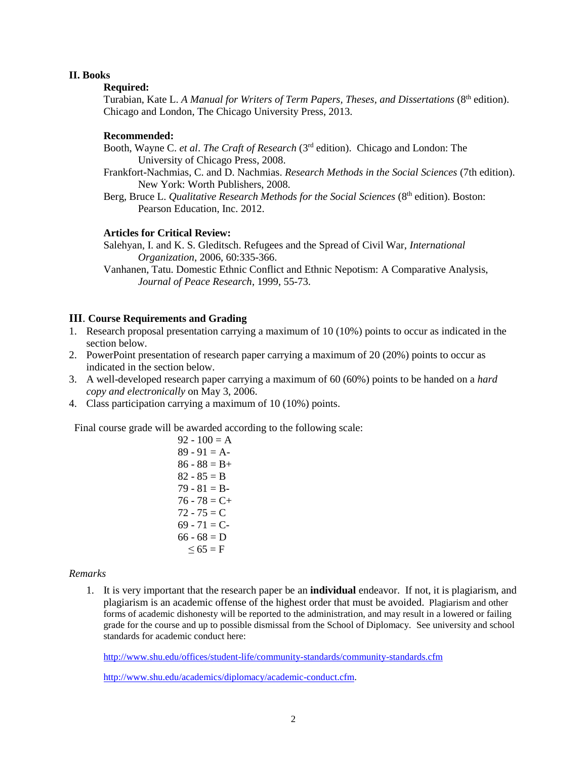## **II. Books**

# **Required:**

Turabian, Kate L. *A Manual for Writers of Term Papers, Theses, and Dissertations* (8 th edition). Chicago and London, The Chicago University Press, 2013.

# **Recommended:**

- Booth, Wayne C. *et al*. *The Craft of Research* (3rd edition). Chicago and London: The University of Chicago Press, 2008.
- Frankfort-Nachmias, C. and D. Nachmias. *Research Methods in the Social Sciences* (7th edition). New York: Worth Publishers, 2008.
- Berg, Bruce L. *Qualitative Research Methods for the Social Sciences* (8<sup>th</sup> edition). Boston: Pearson Education, Inc. 2012.

# **Articles for Critical Review:**

 Salehyan, I. and K. S. Gleditsch. Refugees and the Spread of Civil War, *International Organization*, 2006, 60:335-366.

Vanhanen, Tatu. Domestic Ethnic Conflict and Ethnic Nepotism: A Comparative Analysis, *Journal of Peace Research*, 1999, 55-73.

# **III**. **Course Requirements and Grading**

- 1. Research proposal presentation carrying a maximum of 10 (10%) points to occur as indicated in the section below.
- 2. PowerPoint presentation of research paper carrying a maximum of 20 (20%) points to occur as indicated in the section below.
- 3. A well-developed research paper carrying a maximum of 60 (60%) points to be handed on a *hard copy and electronically* on May 3, 2006.
- 4. Class participation carrying a maximum of 10 (10%) points.

Final course grade will be awarded according to the following scale:

 $92 - 100 = A$  $89 - 91 = A$  $86 - 88 = B +$  $82 - 85 = B$  $79 - 81 = B$  $76 - 78 = C +$  $72 - 75 = C$  $69 - 71 = C$  $66 - 68 = D$  $\leq 65$  = F

#### *Remarks*

1. It is very important that the research paper be an **individual** endeavor. If not, it is plagiarism, and plagiarism is an academic offense of the highest order that must be avoided. Plagiarism and other forms of academic dishonesty will be reported to the administration, and may result in a lowered or failing grade for the course and up to possible dismissal from the School of Diplomacy. See university and school standards for academic conduct here:

<http://www.shu.edu/offices/student-life/community-standards/community-standards.cfm>

[http://www.shu.edu/academics/diplomacy/academic-conduct.cfm.](http://www.shu.edu/academics/diplomacy/academic-conduct.cfm)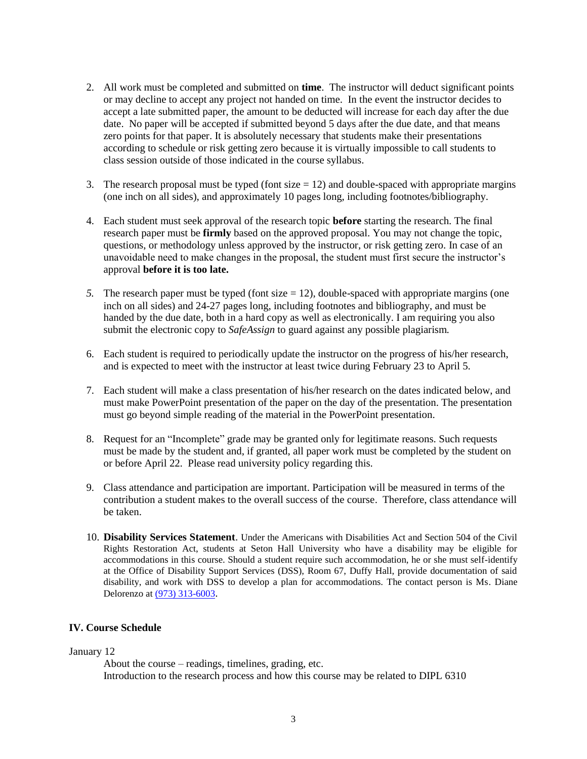- 2. All work must be completed and submitted on **time**. The instructor will deduct significant points or may decline to accept any project not handed on time. In the event the instructor decides to accept a late submitted paper, the amount to be deducted will increase for each day after the due date. No paper will be accepted if submitted beyond 5 days after the due date, and that means zero points for that paper. It is absolutely necessary that students make their presentations according to schedule or risk getting zero because it is virtually impossible to call students to class session outside of those indicated in the course syllabus.
- 3. The research proposal must be typed (font size  $= 12$ ) and double-spaced with appropriate margins (one inch on all sides), and approximately 10 pages long, including footnotes/bibliography.
- 4. Each student must seek approval of the research topic **before** starting the research. The final research paper must be **firmly** based on the approved proposal. You may not change the topic, questions, or methodology unless approved by the instructor, or risk getting zero. In case of an unavoidable need to make changes in the proposal, the student must first secure the instructor's approval **before it is too late.**
- *5.* The research paper must be typed (font size = 12), double-spaced with appropriate margins (one inch on all sides) and 24-27 pages long, including footnotes and bibliography, and must be handed by the due date, both in a hard copy as well as electronically. I am requiring you also submit the electronic copy to *SafeAssign* to guard against any possible plagiarism*.*
- 6. Each student is required to periodically update the instructor on the progress of his/her research, and is expected to meet with the instructor at least twice during February 23 to April 5.
- 7. Each student will make a class presentation of his/her research on the dates indicated below, and must make PowerPoint presentation of the paper on the day of the presentation. The presentation must go beyond simple reading of the material in the PowerPoint presentation.
- 8. Request for an "Incomplete" grade may be granted only for legitimate reasons. Such requests must be made by the student and, if granted, all paper work must be completed by the student on or before April 22. Please read university policy regarding this.
- 9. Class attendance and participation are important. Participation will be measured in terms of the contribution a student makes to the overall success of the course. Therefore, class attendance will be taken.
- 10. **Disability Services Statement**. Under the Americans with Disabilities Act and Section 504 of the Civil Rights Restoration Act, students at Seton Hall University who have a disability may be eligible for accommodations in this course. Should a student require such accommodation, he or she must self-identify at the Office of Disability Support Services (DSS), Room 67, Duffy Hall, provide documentation of said disability, and work with DSS to develop a plan for accommodations. The contact person is Ms. Diane Delorenzo at [\(973\) 313-6003](tel:%28973%29%20313-6003).

# **IV. Course Schedule**

January 12

About the course – readings, timelines, grading, etc. Introduction to the research process and how this course may be related to DIPL 6310